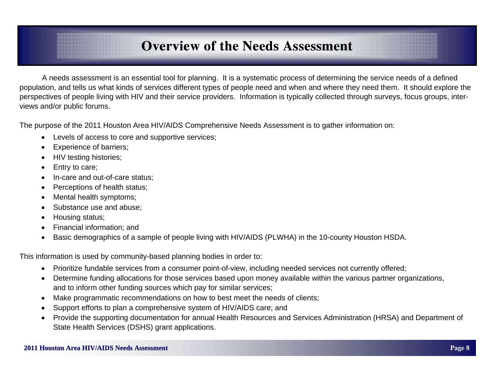# **Overview of the Needs Assessment Overview of the Needs Assessment**

 A needs assessment is an essential tool for planning. It is a systematic process of determining the service needs of a defined population, and tells us what kinds of services different types of people need and when and where they need them. It should explore the perspectives of people living with HIV and their service providers. Information is typically collected through surveys, focus groups, interviews and/or public forums.

The purpose of the 2011 Houston Area HIV/AIDS Comprehensive Needs Assessment is to gather information on:

- $\bullet$ Levels of access to core and supportive services;
- $\bullet$ Experience of barriers;
- $\bullet$ HIV testing histories;
- $\bullet$ Entry to care;
- $\bullet$ In-care and out-of-care status;
- $\bullet$ Perceptions of health status;
- $\bullet$ Mental health symptoms;
- $\bullet$ Substance use and abuse;
- $\bullet$ Housing status;
- $\bullet$ Financial information; and
- $\bullet$ Basic demographics of a sample of people living with HIV/AIDS (PLWHA) in the 10-county Houston HSDA.

This information is used by community-based planning bodies in order to:

- $\bullet$ Prioritize fundable services from a consumer point-of-view, including needed services not currently offered;
- $\bullet$  Determine funding allocations for those services based upon money available within the various partner organizations, and to inform other funding sources which pay for similar services;
- $\bullet$ Make programmatic recommendations on how to best meet the needs of clients;
- $\bullet$ Support efforts to plan a comprehensive system of HIV/AIDS care; and
- Provide the supporting documentation for annual Health Resources and Services Administration (HRSA) and Department of State Health Services (DSHS) grant applications.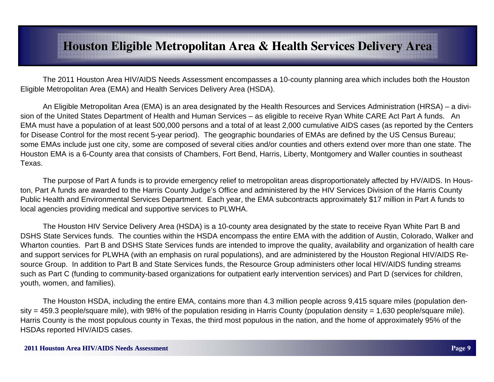# **Houston Eligible Metropolitan Area & Health Services Delivery Area**

 The 2011 Houston Area HIV/AIDS Needs Assessment encompasses a 10-county planning area which includes both the Houston Eligible Metropolitan Area (EMA) and Health Services Delivery Area (HSDA).

 An Eligible Metropolitan Area (EMA) is an area designated by the Health Resources and Services Administration (HRSA) – a division of the United States Department of Health and Human Services – as eligible to receive Ryan White CARE Act Part A funds. An EMA must have a population of at least 500,000 persons and a total of at least 2,000 cumulative AIDS cases (as reported by the Centers for Disease Control for the most recent 5-year period). The geographic boundaries of EMAs are defined by the US Census Bureau; some EMAs include just one city, some are composed of several cities and/or counties and others extend over more than one state. The Houston EMA is a 6-County area that consists of Chambers, Fort Bend, Harris, Liberty, Montgomery and Waller counties in southeast Texas.

 The purpose of Part A funds is to provide emergency relief to metropolitan areas disproportionately affected by HV/AIDS. In Houston, Part A funds are awarded to the Harris County Judge's Office and administered by the HIV Services Division of the Harris County Public Health and Environmental Services Department. Each year, the EMA subcontracts approximately \$17 million in Part A funds to local agencies providing medical and supportive services to PLWHA.

 The Houston HIV Service Delivery Area (HSDA) is a 10-county area designated by the state to receive Ryan White Part B and DSHS State Services funds. The counties within the HSDA encompass the entire EMA with the addition of Austin, Colorado, Walker and Wharton counties. Part B and DSHS State Services funds are intended to improve the quality, availability and organization of health care and support services for PLWHA (with an emphasis on rural populations), and are administered by the Houston Regional HIV/AIDS Resource Group. In addition to Part B and State Services funds, the Resource Group administers other local HIV/AIDS funding streams such as Part C (funding to community-based organizations for outpatient early intervention services) and Part D (services for children, youth, women, and families).

 The Houston HSDA, including the entire EMA, contains more than 4.3 million people across 9,415 square miles (population density = 459.3 people/square mile), with 98% of the population residing in Harris County (population density = 1,630 people/square mile). Harris County is the most populous county in Texas, the third most populous in the nation, and the home of approximately 95% of the HSDAs reported HIV/AIDS cases.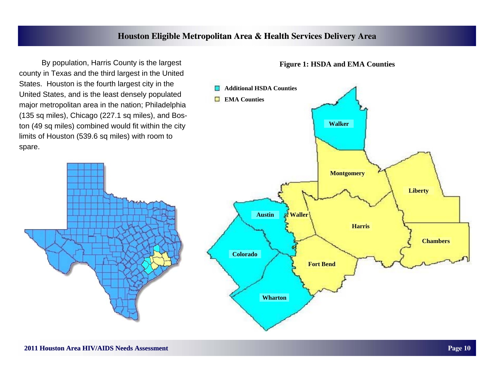## **Houston Eligible Metropolitan Area & Health Services Delivery Area**

 By population, Harris County is the largest county in Texas and the third largest in the United States. Houston is the fourth largest city in the United States, and is the least densely populated major metropolitan area in the nation; Philadelphia (135 sq miles), Chicago (227.1 sq miles), and Boston (49 sq miles) combined would fit within the city limits of Houston (539.6 sq miles) with room to spare.



#### **Figure 1: HSDA and EMA Counties**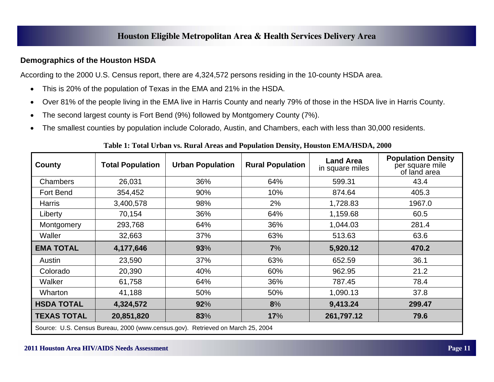### **Demographics of the Houston HSDA**

According to the 2000 U.S. Census report, there are 4,324,572 persons residing in the 10-county HSDA area.

- $\bullet$ This is 20% of the population of Texas in the EMA and 21% in the HSDA.
- $\bullet$ Over 81% of the people living in the EMA live in Harris County and nearly 79% of those in the HSDA live in Harris County.
- $\bullet$ The second largest county is Fort Bend (9%) followed by Montgomery County (7%).
- $\bullet$ The smallest counties by population include Colorado, Austin, and Chambers, each with less than 30,000 residents.

#### **Table 1: Total Urban vs. Rural Areas and Population Density, Houston EMA/HSDA, 2000**

| County             | <b>Total Population</b>                                                     | <b>Urban Population</b> | <b>Rural Population</b> | <b>Land Area</b><br>in square miles | <b>Population Density</b><br>per square mile<br>of land area |  |  |  |
|--------------------|-----------------------------------------------------------------------------|-------------------------|-------------------------|-------------------------------------|--------------------------------------------------------------|--|--|--|
| <b>Chambers</b>    | 26,031                                                                      | 36%                     | 64%                     | 599.31                              | 43.4                                                         |  |  |  |
| Fort Bend          | 354,452                                                                     | 90%                     | 10%                     | 874.64                              | 405.3                                                        |  |  |  |
| <b>Harris</b>      | 3,400,578                                                                   | 98%                     | 2%                      | 1,728.83                            | 1967.0                                                       |  |  |  |
| Liberty            | 70,154                                                                      | 36%                     | 64%                     | 1,159.68                            | 60.5                                                         |  |  |  |
| Montgomery         | 293,768                                                                     | 64%                     | 36%                     | 1,044.03                            | 281.4                                                        |  |  |  |
| Waller             | 32,663                                                                      | 37%                     | 63%                     | 513.63                              | 63.6                                                         |  |  |  |
| <b>EMA TOTAL</b>   | 4,177,646                                                                   | 93%                     | 7%                      | 5,920.12                            | 470.2                                                        |  |  |  |
| Austin             | 23,590                                                                      | 37%                     | 63%                     | 652.59                              | 36.1                                                         |  |  |  |
| Colorado           | 20,390                                                                      | 40%                     | 60%                     | 962.95                              | 21.2                                                         |  |  |  |
| Walker             | 61,758                                                                      | 64%                     | 36%                     | 787.45                              | 78.4                                                         |  |  |  |
| Wharton            | 41,188                                                                      | 50%                     | 50%                     | 1,090.13                            | 37.8                                                         |  |  |  |
| <b>HSDA TOTAL</b>  | 4,324,572                                                                   | 92%                     | 8%                      | 9,413.24                            | 299.47                                                       |  |  |  |
| <b>TEXAS TOTAL</b> | 20,851,820                                                                  | 83%                     | 17%                     | 261,797.12                          | 79.6                                                         |  |  |  |
|                    | Course LLC Concus Durant 2000 (unit) sensus said Detriousd on March OF 2004 |                         |                         |                                     |                                                              |  |  |  |

Source: U.S. Census Bureau, 2000 (www.census.gov). Retrieved on March 25, 2004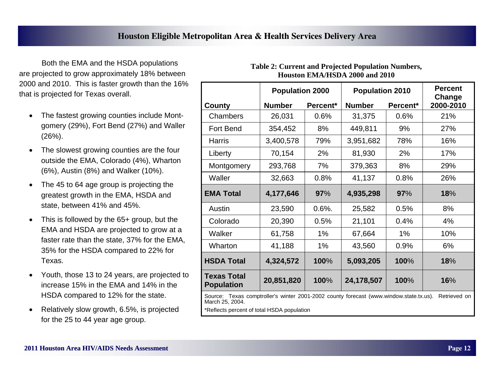Both the EMA and the HSDA populations are projected to grow approximately 18% between 2000 and 2010. This is faster growth than the 16% that is projected for Texas overall.

- $\bullet$  The fastest growing counties include Montgomery (29%), Fort Bend (27%) and Waller (26%).
- $\bullet$  The slowest growing counties are the four outside the EMA, Colorado (4%), Wharton (6%), Austin (8%) and Walker (10%).
- $\bullet$  The 45 to 64 age group is projecting the greatest growth in the EMA, HSDA and state, between 41% and 45%.
- $\bullet$  This is followed by the 65+ group, but the EMA and HSDA are projected to grow at a faster rate than the state, 37% for the EMA, 35% for the HSDA compared to 22% for Texas.
- $\bullet$  Youth, those 13 to 24 years, are projected to increase 15% in the EMA and 14% in the HSDA compared to 12% for the state.
- $\bullet$  Relatively slow growth, 6.5%, is projected for the 25 to 44 year age group.

|                                                                                                                           | <b>Population 2000</b> |          | <b>Population 2010</b> | <b>Percent</b><br>Change |           |  |
|---------------------------------------------------------------------------------------------------------------------------|------------------------|----------|------------------------|--------------------------|-----------|--|
| <b>County</b>                                                                                                             | <b>Number</b>          | Percent* | <b>Number</b>          | Percent*                 | 2000-2010 |  |
| Chambers                                                                                                                  | 26,031                 | 0.6%     | 31,375                 | 0.6%                     | 21%       |  |
| <b>Fort Bend</b>                                                                                                          | 354,452                | 8%       | 449,811                | 9%                       | 27%       |  |
| Harris                                                                                                                    | 3,400,578              | 79%      | 3,951,682              | 78%                      | 16%       |  |
| Liberty                                                                                                                   | 70,154                 | 2%       | 81,930                 | 2%                       | 17%       |  |
| Montgomery                                                                                                                | 293,768                | 7%       | 379,363                | 8%                       | 29%       |  |
| Waller                                                                                                                    | 32,663                 | 0.8%     | 41,137                 | 0.8%                     | 26%       |  |
| <b>EMA Total</b>                                                                                                          | 4,177,646              | 97%      | 4,935,298              | 97%                      | 18%       |  |
| Austin                                                                                                                    | 23,590                 | $0.6%$ . | 25,582                 | 0.5%                     | 8%        |  |
| Colorado                                                                                                                  | 20,390                 | 0.5%     | 21,101                 | 0.4%                     | 4%        |  |
| Walker                                                                                                                    | 61,758                 | $1\%$    | 67,664                 | 1%                       | 10%       |  |
| Wharton                                                                                                                   | 41,188                 | $1\%$    | 43,560                 | 0.9%                     | 6%        |  |
| <b>HSDA Total</b>                                                                                                         | 4,324,572              | 100%     | 5,093,205              | 100%                     | 18%       |  |
| <b>Texas Total</b><br><b>Population</b>                                                                                   | 20,851,820             | 100%     | 24,178,507             | 100%                     | 16%       |  |
| Source: Texas comptroller's winter 2001-2002 county forecast (www.window.state.tx.us).<br>Retrieved on<br>March 25, 2004. |                        |          |                        |                          |           |  |

#### **Table 2: Current and Projected Population Numbers, Houston EMA/HSDA 2000 and 2010**

\*Reflects percent of total HSDA population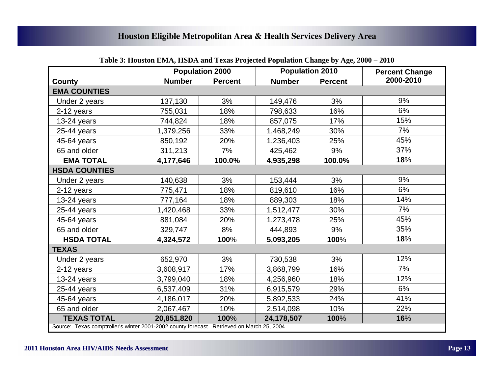|                                                                                            | <b>Population 2000</b> |                | <b>Population 2010</b> |                | <b>Percent Change</b> |  |  |
|--------------------------------------------------------------------------------------------|------------------------|----------------|------------------------|----------------|-----------------------|--|--|
| County                                                                                     | <b>Number</b>          | <b>Percent</b> | <b>Number</b>          | <b>Percent</b> | 2000-2010             |  |  |
| <b>EMA COUNTIES</b>                                                                        |                        |                |                        |                |                       |  |  |
| Under 2 years                                                                              | 137,130                | 3%             | 149,476                | 3%             | 9%                    |  |  |
| 2-12 years                                                                                 | 755,031                | 18%            | 798,633                | 16%            | 6%                    |  |  |
| 13-24 years                                                                                | 744,824                | 18%            | 857,075                | 17%            | 15%                   |  |  |
| 25-44 years                                                                                | 1,379,256              | 33%            | 1,468,249              | 30%            | 7%                    |  |  |
| 45-64 years                                                                                | 850,192                | 20%            | 1,236,403              | 25%            | 45%                   |  |  |
| 65 and older                                                                               | 311,213                | 7%             | 425,462                | 9%             | 37%                   |  |  |
| <b>EMA TOTAL</b>                                                                           | 4,177,646              | 100.0%         | 4,935,298              | 100.0%         | 18%                   |  |  |
| <b>HSDA COUNTIES</b>                                                                       |                        |                |                        |                |                       |  |  |
| Under 2 years                                                                              | 140,638                | 3%             | 153,444                | 3%             | 9%                    |  |  |
| 2-12 years                                                                                 | 775,471                | 18%            | 819,610                | 16%            | 6%                    |  |  |
| $13-24$ years                                                                              | 777,164                | 18%            | 889,303                | 18%            | 14%                   |  |  |
| 25-44 years                                                                                | 1,420,468              | 33%            | 1,512,477              | 30%            | 7%                    |  |  |
| 45-64 years                                                                                | 881,084                | 20%            | 1,273,478              | 25%            | 45%                   |  |  |
| 65 and older                                                                               | 329,747                | 8%             | 444,893                | 9%             | 35%                   |  |  |
| <b>HSDA TOTAL</b>                                                                          | 4,324,572              | 100%           | 5,093,205              | 100%           | 18%                   |  |  |
| <b>TEXAS</b>                                                                               |                        |                |                        |                |                       |  |  |
| Under 2 years                                                                              | 652,970                | 3%             | 730,538                | 3%             | 12%                   |  |  |
| 2-12 years                                                                                 | 3,608,917              | 17%            | 3,868,799              | 16%            | 7%                    |  |  |
| 13-24 years                                                                                | 3,799,040              | 18%            | 4,256,960              | 18%            | 12%                   |  |  |
| 25-44 years                                                                                | 6,537,409              | 31%            | 6,915,579              | 29%            | 6%                    |  |  |
| 45-64 years                                                                                | 4,186,017              | 20%            | 5,892,533              | 24%            | 41%                   |  |  |
| 65 and older                                                                               | 2,067,467              | 10%            | 2,514,098              | 10%            | 22%                   |  |  |
| <b>TEXAS TOTAL</b>                                                                         | 20,851,820             | 100%           | 24,178,507             | 100%           | 16%                   |  |  |
| Source: Texas comptroller's winter 2001-2002 county forecast. Retrieved on March 25, 2004. |                        |                |                        |                |                       |  |  |

# **Table 3: Houston EMA, HSDA and Texas Projected Population Change by Age, 2000 – 2010**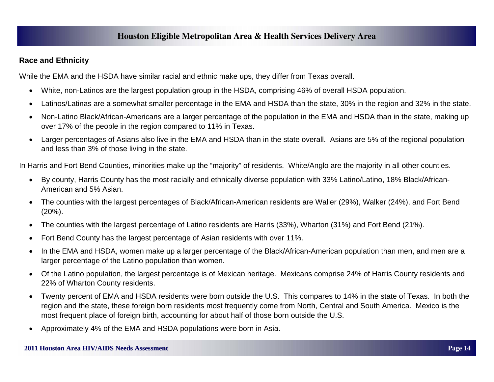#### **Race and Ethnicity**

While the EMA and the HSDA have similar racial and ethnic make ups, they differ from Texas overall.

- $\bullet$ White, non-Latinos are the largest population group in the HSDA, comprising 46% of overall HSDA population.
- $\bullet$ Latinos/Latinas are a somewhat smaller percentage in the EMA and HSDA than the state, 30% in the region and 32% in the state.
- $\bullet$  Non-Latino Black/African-Americans are a larger percentage of the population in the EMA and HSDA than in the state, making up over 17% of the people in the region compared to 11% in Texas.
- $\bullet$  Larger percentages of Asians also live in the EMA and HSDA than in the state overall. Asians are 5% of the regional population and less than 3% of those living in the state.

In Harris and Fort Bend Counties, minorities make up the "majority" of residents. White/Anglo are the majority in all other counties.

- By county, Harris County has the most racially and ethnically diverse population with 33% Latino/Latino, 18% Black/African-American and 5% Asian.
- $\bullet$  The counties with the largest percentages of Black/African-American residents are Waller (29%), Walker (24%), and Fort Bend (20%).
- $\bullet$ The counties with the largest percentage of Latino residents are Harris (33%), Wharton (31%) and Fort Bend (21%).
- $\bullet$ Fort Bend County has the largest percentage of Asian residents with over 11%.
- $\bullet$  In the EMA and HSDA, women make up a larger percentage of the Black/African-American population than men, and men are a larger percentage of the Latino population than women.
- $\bullet$  Of the Latino population, the largest percentage is of Mexican heritage. Mexicans comprise 24% of Harris County residents and 22% of Wharton County residents.
- $\bullet$  Twenty percent of EMA and HSDA residents were born outside the U.S. This compares to 14% in the state of Texas. In both the region and the state, these foreign born residents most frequently come from North, Central and South America. Mexico is the most frequent place of foreign birth, accounting for about half of those born outside the U.S.
- $\bullet$ Approximately 4% of the EMA and HSDA populations were born in Asia.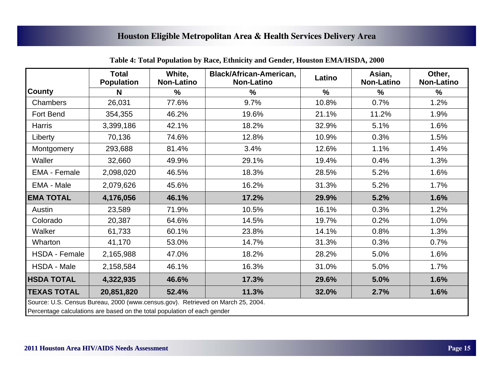|                                                                                 | <b>Total</b><br><b>Population</b>                                        | White,<br><b>Non-Latino</b> | <b>Black/African-American,</b><br><b>Non-Latino</b> | Latino        | Asian,<br><b>Non-Latino</b> | Other,<br><b>Non-Latino</b> |  |  |
|---------------------------------------------------------------------------------|--------------------------------------------------------------------------|-----------------------------|-----------------------------------------------------|---------------|-----------------------------|-----------------------------|--|--|
| <b>County</b>                                                                   | N                                                                        | $\%$                        | $\frac{0}{0}$                                       | $\frac{1}{2}$ | $\frac{9}{6}$               | $\frac{9}{6}$               |  |  |
| Chambers                                                                        | 26,031                                                                   | 77.6%                       | 9.7%                                                | 10.8%         | 0.7%                        | 1.2%                        |  |  |
| Fort Bend                                                                       | 354,355                                                                  | 46.2%                       | 19.6%                                               | 21.1%         | 11.2%                       | 1.9%                        |  |  |
| <b>Harris</b>                                                                   | 3,399,186                                                                | 42.1%                       | 18.2%                                               | 32.9%         | 5.1%                        | 1.6%                        |  |  |
| Liberty                                                                         | 70,136                                                                   | 74.6%                       | 12.8%                                               | 10.9%         | 0.3%                        | 1.5%                        |  |  |
| Montgomery                                                                      | 293,688                                                                  | 81.4%                       | 3.4%                                                | 12.6%         | 1.1%                        | 1.4%                        |  |  |
| Waller                                                                          | 32,660                                                                   | 49.9%                       | 29.1%                                               | 19.4%         | 0.4%                        | 1.3%                        |  |  |
| <b>EMA - Female</b>                                                             | 2,098,020                                                                | 46.5%                       | 18.3%                                               | 28.5%         | 5.2%                        | 1.6%                        |  |  |
| EMA - Male                                                                      | 2,079,626                                                                | 45.6%                       | 16.2%                                               | 31.3%         | 5.2%                        | 1.7%                        |  |  |
| <b>EMA TOTAL</b>                                                                | 4,176,056                                                                | 46.1%                       | 17.2%                                               | 29.9%         | 5.2%                        | 1.6%                        |  |  |
| Austin                                                                          | 23,589                                                                   | 71.9%                       | 10.5%                                               | 16.1%         | 0.3%                        | 1.2%                        |  |  |
| Colorado                                                                        | 20,387                                                                   | 64.6%                       | 14.5%                                               | 19.7%         | 0.2%                        | 1.0%                        |  |  |
| Walker                                                                          | 61,733                                                                   | 60.1%                       | 23.8%                                               | 14.1%         | 0.8%                        | 1.3%                        |  |  |
| Wharton                                                                         | 41,170                                                                   | 53.0%                       | 14.7%                                               | 31.3%         | 0.3%                        | 0.7%                        |  |  |
| <b>HSDA - Female</b>                                                            | 2,165,988                                                                | 47.0%                       | 18.2%                                               | 28.2%         | 5.0%                        | 1.6%                        |  |  |
| HSDA - Male                                                                     | 2,158,584                                                                | 46.1%                       | 16.3%                                               | 31.0%         | 5.0%                        | 1.7%                        |  |  |
| <b>HSDA TOTAL</b>                                                               | 4,322,935                                                                | 46.6%                       | 17.3%                                               | 29.6%         | 5.0%                        | 1.6%                        |  |  |
| <b>TEXAS TOTAL</b>                                                              | 20,851,820                                                               | 52.4%                       | 11.3%                                               | 32.0%         | 2.7%                        | 1.6%                        |  |  |
| Source: U.S. Census Bureau, 2000 (www.census.gov). Retrieved on March 25, 2004. |                                                                          |                             |                                                     |               |                             |                             |  |  |
|                                                                                 | Percentage calculations are based on the total population of each gender |                             |                                                     |               |                             |                             |  |  |

**Table 4: Total Population by Race, Ethnicity and Gender, Houston EMA/HSDA, 2000**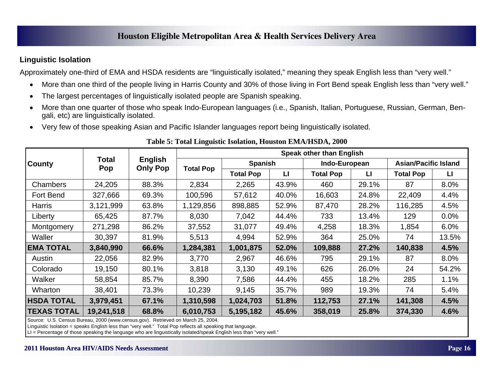### **Linguistic Isolation**

Approximately one-third of EMA and HSDA residents are "linguistically isolated," meaning they speak English less than "very well."

- $\bullet$ More than one third of the people living in Harris County and 30% of those living in Fort Bend speak English less than "very well."
- $\bullet$ The largest percentages of linguistically isolated people are Spanish speaking.
- $\bullet$  More than one quarter of those who speak Indo-European languages (i.e., Spanish, Italian, Portuguese, Russian, German, Bengali, etc) are linguistically isolated.
- $\bullet$ Very few of those speaking Asian and Pacific Islander languages report being linguistically isolated.

|                    |              |                            | <b>Speak other than English</b> |                  |                |                  |               |                  |                             |  |
|--------------------|--------------|----------------------------|---------------------------------|------------------|----------------|------------------|---------------|------------------|-----------------------------|--|
| <b>County</b>      | Total<br>Pop | English<br><b>Only Pop</b> |                                 |                  | <b>Spanish</b> |                  | Indo-European |                  | <b>Asian/Pacific Island</b> |  |
|                    |              |                            | <b>Total Pop</b>                | <b>Total Pop</b> | $\mathbf{L}$   | <b>Total Pop</b> | $\mathbf{L}$  | <b>Total Pop</b> | $\mathbf{L}$                |  |
| Chambers           | 24,205       | 88.3%                      | 2,834                           | 2,265            | 43.9%          | 460              | 29.1%         | 87               | 8.0%                        |  |
| Fort Bend          | 327,666      | 69.3%                      | 100,596                         | 57,612           | 40.0%          | 16,603           | 24.8%         | 22,409           | 4.4%                        |  |
| Harris             | 3,121,999    | 63.8%                      | 1,129,856                       | 898,885          | 52.9%          | 87,470           | 28.2%         | 116,285          | 4.5%                        |  |
| Liberty            | 65,425       | 87.7%                      | 8,030                           | 7,042            | 44.4%          | 733              | 13.4%         | 129              | 0.0%                        |  |
| Montgomery         | 271,298      | 86.2%                      | 37,552                          | 31,077           | 49.4%          | 4,258            | 18.3%         | 1,854            | 6.0%                        |  |
| Waller             | 30,397       | 81.9%                      | 5,513                           | 4,994            | 52.9%          | 364              | 25.0%         | 74               | 13.5%                       |  |
| <b>EMA TOTAL</b>   | 3,840,990    | 66.6%                      | 1,284,381                       | 1,001,875        | 52.0%          | 109,888          | 27.2%         | 140,838          | 4.5%                        |  |
| Austin             | 22,056       | 82.9%                      | 3,770                           | 2,967            | 46.6%          | 795              | 29.1%         | 87               | 8.0%                        |  |
| Colorado           | 19,150       | 80.1%                      | 3,818                           | 3,130            | 49.1%          | 626              | 26.0%         | 24               | 54.2%                       |  |
| Walker             | 58,854       | 85.7%                      | 8,390                           | 7,586            | 44.4%          | 455              | 18.2%         | 285              | 1.1%                        |  |
| Wharton            | 38,401       | 73.3%                      | 10,239                          | 9,145            | 35.7%          | 989              | 19.3%         | 74               | 5.4%                        |  |
| <b>HSDA TOTAL</b>  | 3,979,451    | 67.1%                      | 1,310,598                       | 1,024,703        | 51.8%          | 112,753          | 27.1%         | 141,308          | 4.5%                        |  |
| <b>TEXAS TOTAL</b> | 19,241,518   | 68.8%                      | 6,010,753                       | 5,195,182        | 45.6%          | 358,019          | 25.8%         | 374,330          | 4.6%                        |  |

**Table 5: Total Linguistic Isolation, Houston EMA/HSDA, 2000** 

Source: U.S. Census Bureau, 2000 (www.census.gov). Retrieved on March 25, 2004.

Linguistic Isolation = speaks English less than "very well." Total Pop reflects all speaking that language.

LI = Percentage of those speaking the language who are linguistically isolated/speak English less than "very well."

#### **2011 Houston Area HIV/ 2011 Houston Area HIV/AIDS Needs Assessment AIDS Needs AssessmentPage 16**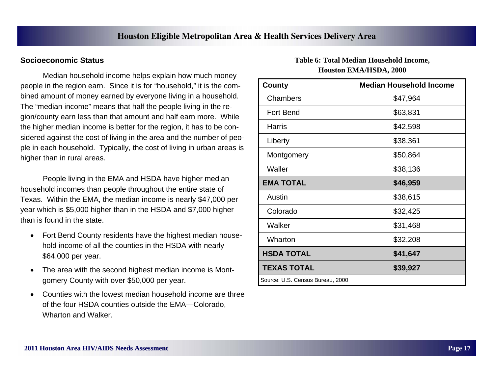#### **Socioeconomic Status**

 Median household income helps explain how much money people in the region earn. Since it is for "household," it is the combined amount of money earned by everyone living in a household. The "median income" means that half the people living in the region/county earn less than that amount and half earn more. While the higher median income is better for the region, it has to be considered against the cost of living in the area and the number of people in each household. Typically, the cost of living in urban areas is higher than in rural areas.

 People living in the EMA and HSDA have higher median household incomes than people throughout the entire state of Texas. Within the EMA, the median income is nearly \$47,000 per year which is \$5,000 higher than in the HSDA and \$7,000 higher than is found in the state.

- $\bullet$  Fort Bend County residents have the highest median household income of all the counties in the HSDA with nearly \$64,000 per year.
- $\bullet$  The area with the second highest median income is Montgomery County with over \$50,000 per year.
- $\bullet$  Counties with the lowest median household income are three of the four HSDA counties outside the EMA—Colorado, Wharton and Walker.

#### **Table 6: Total Median Household Income, Houston EMA/HSDA, 2000**

| County                           | <b>Median Household Income</b> |  |  |  |  |
|----------------------------------|--------------------------------|--|--|--|--|
| Chambers                         | \$47,964                       |  |  |  |  |
| Fort Bend                        | \$63,831                       |  |  |  |  |
| Harris                           | \$42,598                       |  |  |  |  |
| Liberty                          | \$38,361                       |  |  |  |  |
| Montgomery                       | \$50,864                       |  |  |  |  |
| Waller                           | \$38,136                       |  |  |  |  |
| <b>EMA TOTAL</b>                 | \$46,959                       |  |  |  |  |
| Austin                           | \$38,615                       |  |  |  |  |
| Colorado                         | \$32,425                       |  |  |  |  |
| Walker                           | \$31,468                       |  |  |  |  |
| Wharton                          | \$32,208                       |  |  |  |  |
| <b>HSDA TOTAL</b>                | \$41,647                       |  |  |  |  |
| TEXAS TOTAL                      | \$39,927                       |  |  |  |  |
| Source: U.S. Census Bureau, 2000 |                                |  |  |  |  |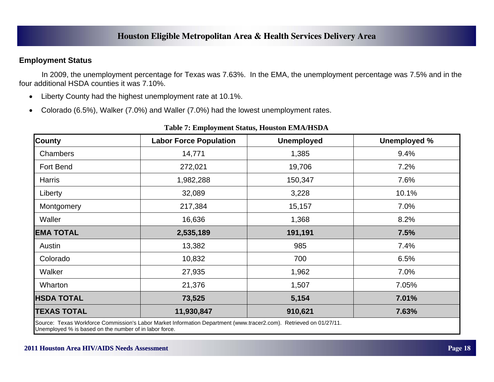#### **Employment Status**

 In 2009, the unemployment percentage for Texas was 7.63%. In the EMA, the unemployment percentage was 7.5% and in the four additional HSDA counties it was 7.10%.

- $\bullet$ Liberty County had the highest unemployment rate at 10.1%.
- $\bullet$ Colorado (6.5%), Walker (7.0%) and Waller (7.0%) had the lowest unemployment rates.

| <b>County</b>                                          | <b>Labor Force Population</b>                                                                                      | <b>Unemployed</b> | <b>Unemployed %</b> |
|--------------------------------------------------------|--------------------------------------------------------------------------------------------------------------------|-------------------|---------------------|
| Chambers                                               | 14,771                                                                                                             | 1,385             | 9.4%                |
| Fort Bend                                              | 272,021                                                                                                            | 19,706            | 7.2%                |
| <b>Harris</b>                                          | 1,982,288                                                                                                          | 150,347           | 7.6%                |
| Liberty                                                | 32,089                                                                                                             | 3,228             | 10.1%               |
| Montgomery                                             | 217,384                                                                                                            | 15,157            | 7.0%                |
| Waller                                                 | 16,636                                                                                                             | 1,368             | 8.2%                |
| <b>EMA TOTAL</b>                                       | 2,535,189                                                                                                          | 191,191           | 7.5%                |
| Austin                                                 | 13,382                                                                                                             | 985               | 7.4%                |
| Colorado                                               | 10,832                                                                                                             | 700               | 6.5%                |
| Walker                                                 | 27,935                                                                                                             | 1,962             | 7.0%                |
| Wharton                                                | 21,376                                                                                                             | 1,507             | 7.05%               |
| <b>HSDA TOTAL</b>                                      | 73,525                                                                                                             | 5,154             | 7.01%               |
| <b>TEXAS TOTAL</b>                                     | 11,930,847                                                                                                         | 910,621           | 7.63%               |
| Unemployed % is based on the number of in labor force. | Source: Texas Workforce Commission's Labor Market Information Department (www.tracer2.com). Retrieved on 01/27/11. |                   |                     |

#### **Table 7: Employment Status, Houston EMA/HSDA**

**2011 Houston Area HIV/ 2011 Houston Area HIV/AIDS Needs Assessment AIDS Needs AssessmentPage 18**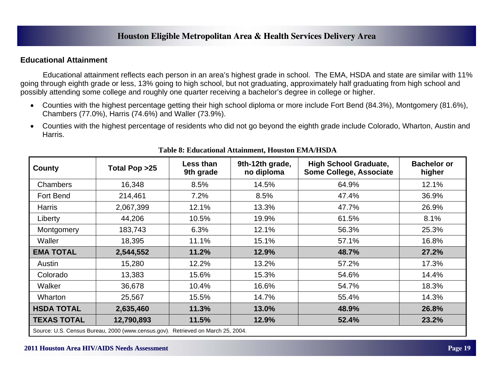#### **Educational Attainment**

 Educational attainment reflects each person in an area's highest grade in school. The EMA, HSDA and state are similar with 11% going through eighth grade or less, 13% going to high school, but not graduating, approximately half graduating from high school and possibly attending some college and roughly one quarter receiving a bachelor's degree in college or higher.

- $\bullet$  Counties with the highest percentage getting their high school diploma or more include Fort Bend (84.3%), Montgomery (81.6%), Chambers (77.0%), Harris (74.6%) and Waller (73.9%).
- $\bullet$  Counties with the highest percentage of residents who did not go beyond the eighth grade include Colorado, Wharton, Austin and Harris.

| County             | Total Pop >25                                                                   | <b>Less than</b><br>9th grade | 9th-12th grade,<br>no diploma | <b>High School Graduate,</b><br>Some College, Associate | <b>Bachelor or</b><br>higher |
|--------------------|---------------------------------------------------------------------------------|-------------------------------|-------------------------------|---------------------------------------------------------|------------------------------|
| <b>Chambers</b>    | 16,348                                                                          | 8.5%                          | 14.5%                         | 64.9%                                                   | 12.1%                        |
| Fort Bend          | 214,461                                                                         | 7.2%                          | 8.5%                          | 47.4%                                                   | 36.9%                        |
| <b>Harris</b>      | 2,067,399                                                                       | 12.1%                         | 13.3%                         | 47.7%                                                   | 26.9%                        |
| Liberty            | 44,206                                                                          | 10.5%                         | 19.9%                         | 61.5%                                                   | 8.1%                         |
| Montgomery         | 183,743                                                                         | 6.3%                          | 12.1%                         | 56.3%                                                   | 25.3%                        |
| Waller             | 18,395                                                                          | 11.1%                         | 15.1%                         | 57.1%                                                   | 16.8%                        |
| <b>EMA TOTAL</b>   | 2,544,552                                                                       | 11.2%                         | 12.9%                         | 48.7%                                                   | 27.2%                        |
| Austin             | 15,280                                                                          | 12.2%                         | 13.2%                         | 57.2%                                                   | 17.3%                        |
| Colorado           | 13,383                                                                          | 15.6%                         | 15.3%                         | 54.6%                                                   | 14.4%                        |
| Walker             | 36,678                                                                          | 10.4%                         | 16.6%                         | 54.7%                                                   | 18.3%                        |
| Wharton            | 25,567                                                                          | 15.5%                         | 14.7%                         | 55.4%                                                   | 14.3%                        |
| <b>HSDA TOTAL</b>  | 2,635,460                                                                       | 11.3%                         | 13.0%                         | 48.9%                                                   | 26.8%                        |
| <b>TEXAS TOTAL</b> | 12,790,893                                                                      | 11.5%                         | 12.9%                         | 52.4%                                                   | 23.2%                        |
|                    | Source: U.S. Census Bureau, 2000 (www.census.gov). Retrieved on March 25, 2004. |                               |                               |                                                         |                              |

#### **Table 8: Educational Attainment, Houston EMA/HSDA**

#### **2011 Houston Area HIV/ 2011 Houston Area HIV/AIDS Needs Assessment AIDS Needs AssessmentPage 19**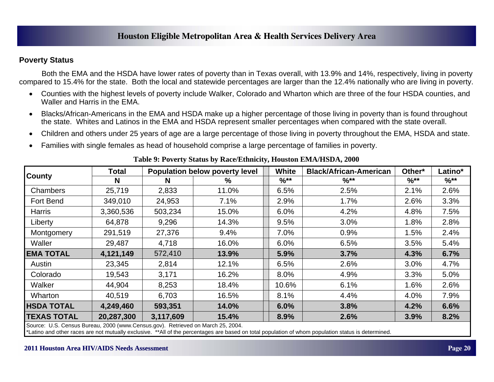#### **Poverty Status**

 Both the EMA and the HSDA have lower rates of poverty than in Texas overall, with 13.9% and 14%, respectively, living in poverty compared to 15.4% for the state. Both the local and statewide percentages are larger than the 12.4% nationally who are living in poverty.

- $\bullet$  Counties with the highest levels of poverty include Walker, Colorado and Wharton which are three of the four HSDA counties, and Waller and Harris in the EMA.
- $\bullet$  Blacks/African-Americans in the EMA and HSDA make up a higher percentage of those living in poverty than is found throughout the state. Whites and Latinos in the EMA and HSDA represent smaller percentages when compared with the state overall.
- $\bullet$ Children and others under 25 years of age are a large percentage of those living in poverty throughout the EMA, HSDA and state.
- $\bullet$ Families with single females as head of household comprise a large percentage of families in poverty.

|                    | Total      | Population below poverty level |       | White    | <b>Black/African-American</b> | Other* | Latino*  |
|--------------------|------------|--------------------------------|-------|----------|-------------------------------|--------|----------|
| <b>County</b>      | N          | N                              | %     | $%^{**}$ | $%^{**}$                      | $%$ ** | $%^{**}$ |
| Chambers           | 25,719     | 2,833                          | 11.0% | 6.5%     | 2.5%                          | 2.1%   | 2.6%     |
| Fort Bend          | 349,010    | 24,953                         | 7.1%  | 2.9%     | 1.7%                          | 2.6%   | 3.3%     |
| Harris             | 3,360,536  | 503,234                        | 15.0% | 6.0%     | 4.2%                          | 4.8%   | 7.5%     |
| Liberty            | 64,878     | 9,296                          | 14.3% | 9.5%     | 3.0%                          | 1.8%   | 2.8%     |
| Montgomery         | 291,519    | 27,376                         | 9.4%  | 7.0%     | 0.9%                          | 1.5%   | 2.4%     |
| Waller             | 29,487     | 4,718                          | 16.0% | 6.0%     | 6.5%                          | 3.5%   | 5.4%     |
| <b>EMA TOTAL</b>   | 4,121,149  | 572,410                        | 13.9% | 5.9%     | 3.7%                          | 4.3%   | 6.7%     |
| Austin             | 23,345     | 2,814                          | 12.1% | 6.5%     | 2.6%                          | 3.0%   | 4.7%     |
| Colorado           | 19,543     | 3,171                          | 16.2% | 8.0%     | 4.9%                          | 3.3%   | 5.0%     |
| Walker             | 44,904     | 8,253                          | 18.4% | 10.6%    | 6.1%                          | 1.6%   | 2.6%     |
| Wharton            | 40,519     | 6,703                          | 16.5% | 8.1%     | 4.4%                          | 4.0%   | 7.9%     |
| <b>HSDA TOTAL</b>  | 4,249,460  | 593,351                        | 14.0% | 6.0%     | 3.8%                          | 4.2%   | 6.6%     |
| <b>TEXAS TOTAL</b> | 20,287,300 | 3,117,609                      | 15.4% | 8.9%     | 2.6%                          | 3.9%   | 8.2%     |

**Table 9: Poverty Status by Race/Ethnicity, Houston EMA/HSDA, 2000** 

Source: U.S. Census Bureau, 2000 (www.Census.gov). Retrieved on March 25, 2004.

\*Latino and other races are not mutually exclusive. \*\*All of the percentages are based on total population of whom population status is determined.